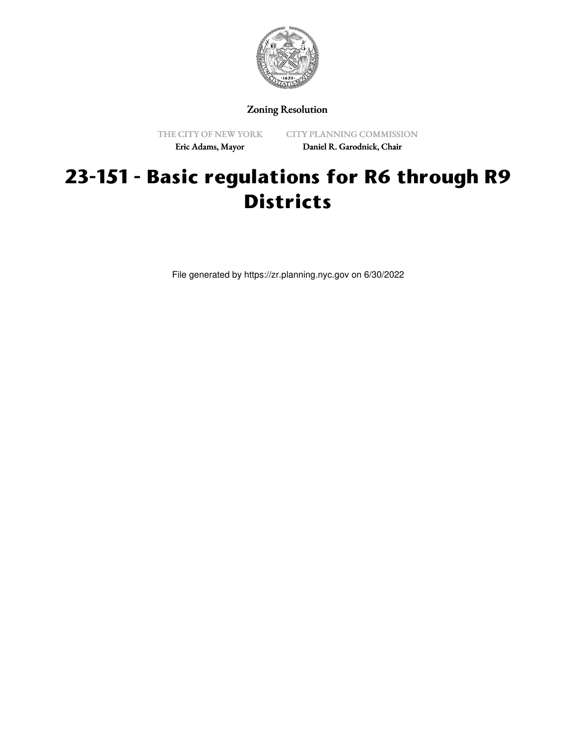

Zoning Resolution

THE CITY OF NEW YORK Eric Adams, Mayor

CITY PLANNING COMMISSION Daniel R. Garodnick, Chair

# **23-151 - Basic regulations for R6 through R9 Districts**

File generated by https://zr.planning.nyc.gov on 6/30/2022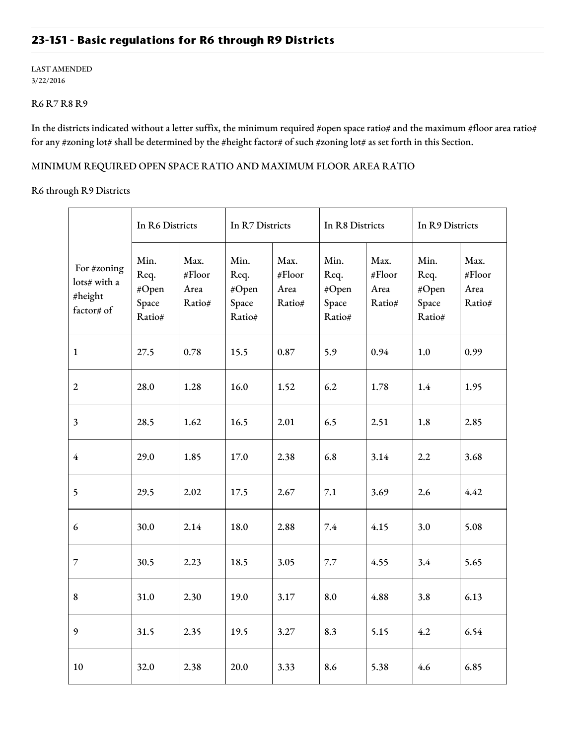## **23-151 - Basic regulations for R6 through R9 Districts**

#### LAST AMENDED 3/22/2016

### R6 R7 R8 R9

In the districts indicated without a letter suffix, the minimum required #open space ratio# and the maximum #floor area ratio# for any #zoning lot# shall be determined by the #height factor# of such #zoning lot# as set forth in this Section.

#### MINIMUM REQUIRED OPEN SPACE RATIO AND MAXIMUM FLOOR AREA RATIO

R6 through R9 Districts

|                                                      | In R6 Districts                          |                                  | In R7 Districts                          |                                  | In R8 Districts                          |                                  | In R9 Districts                          |                                  |
|------------------------------------------------------|------------------------------------------|----------------------------------|------------------------------------------|----------------------------------|------------------------------------------|----------------------------------|------------------------------------------|----------------------------------|
| For #zoning<br>lots# with a<br>#height<br>factor# of | Min.<br>Req.<br>#Open<br>Space<br>Ratio# | Max.<br>#Floor<br>Area<br>Ratio# | Min.<br>Req.<br>#Open<br>Space<br>Ratio# | Max.<br>#Floor<br>Area<br>Ratio# | Min.<br>Req.<br>#Open<br>Space<br>Ratio# | Max.<br>#Floor<br>Area<br>Ratio# | Min.<br>Req.<br>#Open<br>Space<br>Ratio# | Max.<br>#Floor<br>Area<br>Ratio# |
| $\mathbf{1}$                                         | 27.5                                     | 0.78                             | 15.5                                     | 0.87                             | 5.9                                      | 0.94                             | 1.0                                      | 0.99                             |
| $\boldsymbol{2}$                                     | 28.0                                     | 1.28                             | 16.0                                     | 1.52                             | 6.2                                      | 1.78                             | 1.4                                      | 1.95                             |
| 3                                                    | 28.5                                     | 1.62                             | 16.5                                     | 2.01                             | 6.5                                      | 2.51                             | 1.8                                      | 2.85                             |
| $\overline{4}$                                       | 29.0                                     | 1.85                             | 17.0                                     | 2.38                             | 6.8                                      | 3.14                             | 2.2                                      | 3.68                             |
| 5                                                    | 29.5                                     | 2.02                             | 17.5                                     | 2.67                             | 7.1                                      | 3.69                             | 2.6                                      | 4.42                             |
| 6                                                    | 30.0                                     | 2.14                             | 18.0                                     | 2.88                             | 7.4                                      | 4.15                             | 3.0                                      | 5.08                             |
| $\overline{7}$                                       | 30.5                                     | 2.23                             | 18.5                                     | 3.05                             | 7.7                                      | 4.55                             | 3.4                                      | 5.65                             |
| $\bf 8$                                              | 31.0                                     | 2.30                             | 19.0                                     | 3.17                             | 8.0                                      | 4.88                             | 3.8                                      | 6.13                             |
| 9                                                    | 31.5                                     | 2.35                             | 19.5                                     | 3.27                             | 8.3                                      | 5.15                             | 4.2                                      | 6.54                             |
| 10                                                   | 32.0                                     | 2.38                             | 20.0                                     | 3.33                             | 8.6                                      | 5.38                             | 4.6                                      | 6.85                             |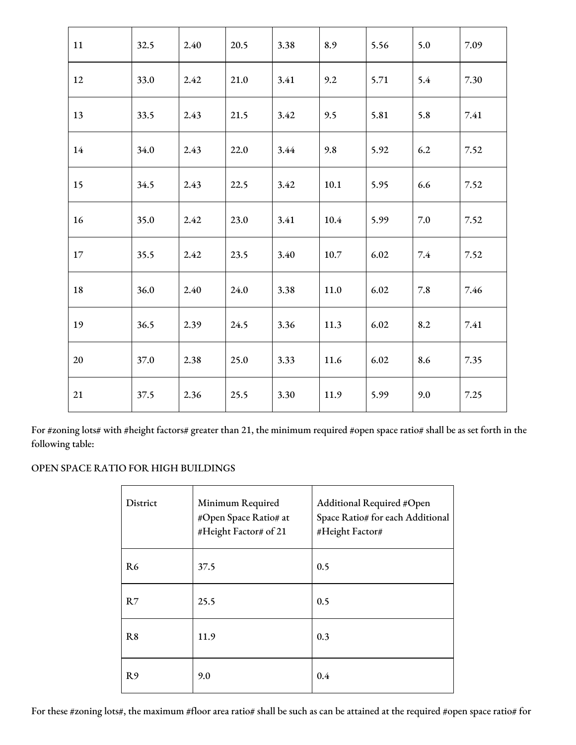| 11 | 32.5 | 2.40 | 20.5 | 3.38 | 8.9  | 5.56 | 5.0 | 7.09 |
|----|------|------|------|------|------|------|-----|------|
| 12 | 33.0 | 2.42 | 21.0 | 3.41 | 9.2  | 5.71 | 5.4 | 7.30 |
| 13 | 33.5 | 2.43 | 21.5 | 3.42 | 9.5  | 5.81 | 5.8 | 7.41 |
| 14 | 34.0 | 2.43 | 22.0 | 3.44 | 9.8  | 5.92 | 6.2 | 7.52 |
| 15 | 34.5 | 2.43 | 22.5 | 3.42 | 10.1 | 5.95 | 6.6 | 7.52 |
| 16 | 35.0 | 2.42 | 23.0 | 3.41 | 10.4 | 5.99 | 7.0 | 7.52 |
| 17 | 35.5 | 2.42 | 23.5 | 3.40 | 10.7 | 6.02 | 7.4 | 7.52 |
| 18 | 36.0 | 2.40 | 24.0 | 3.38 | 11.0 | 6.02 | 7.8 | 7.46 |
| 19 | 36.5 | 2.39 | 24.5 | 3.36 | 11.3 | 6.02 | 8.2 | 7.41 |
| 20 | 37.0 | 2.38 | 25.0 | 3.33 | 11.6 | 6.02 | 8.6 | 7.35 |
| 21 | 37.5 | 2.36 | 25.5 | 3.30 | 11.9 | 5.99 | 9.0 | 7.25 |

For #zoning lots# with #height factors# greater than 21, the minimum required #open space ratio# shall be as set forth in the following table:

## OPEN SPACE RATIO FOR HIGH BUILDINGS

| District       | Minimum Required<br>#Open Space Ratio# at<br>#Height Factor# of 21 | Additional Required #Open<br>Space Ratio# for each Additional<br>#Height Factor# |
|----------------|--------------------------------------------------------------------|----------------------------------------------------------------------------------|
| R <sub>6</sub> | 37.5                                                               | 0.5                                                                              |
| R7             | 25.5                                                               | 0.5                                                                              |
| R8             | 11.9                                                               | 0.3                                                                              |
| R <sub>9</sub> | 9.0                                                                | 0.4                                                                              |

For these #zoning lots#, the maximum #floor area ratio# shall be such as can be attained at the required #open space ratio# for